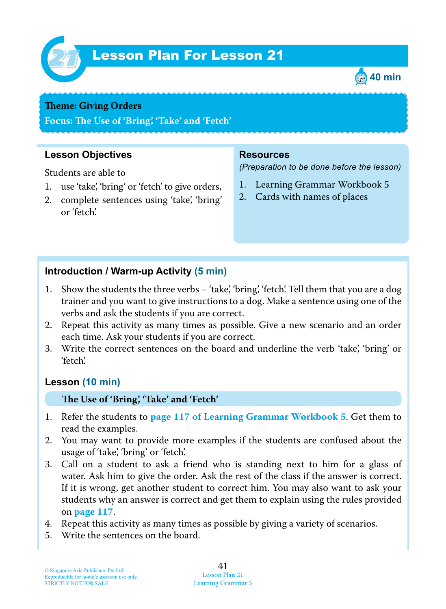

# Lesson Plan For Lesson 21 *21*



#### **Theme: Giving Orders**

**Focus: Te Use of 'Bring', 'Take' and 'Fetch'**

# **Lesson Objectives**

Students are able to

- 1. use 'take', 'bring' or 'fetch' to give orders,
- 2. complete sentences using 'take', 'bring' or 'fetch'.

## **Resources**

*(Preparation to be done before the lesson)*

- 1. Learning Grammar Workbook 5
- 2. Cards with names of places

## **Introduction / Warm-up Activity (5 min)**

- 1. Show the students the three verbs 'take', 'bring', 'fetch'. Tell them that you are a dog trainer and you want to give instructions to a dog. Make a sentence using one of the verbs and ask the students if you are correct.
- 2. Repeat this activity as many times as possible. Give a new scenario and an order each time. Ask your students if you are correct.
- 3. Write the correct sentences on the board and underline the verb 'take', 'bring' or 'fetch'.

# **Lesson (10 min)**

#### **Te Use of 'Bring', 'Take' and 'Fetch'**

- 1. Refer the students to **page 117 of Learning Grammar Workbook 5** . Get them to read the examples.
- 2. You may want to provide more examples if the students are confused about the usage of 'take', 'bring' or 'fetch'.
- 3. Call on a student to ask a friend who is standing next to him for a glass of water. Ask him to give the order. Ask the rest of the class if the answer is correct. If it is wrong, get another student to correct him. You may also want to ask your students why an answer is correct and get them to explain using the rules provided on **page 117** .
- 4. Repeat this activity as many times as possible by giving a variety of scenarios.
- 5. Write the sentences on the board.